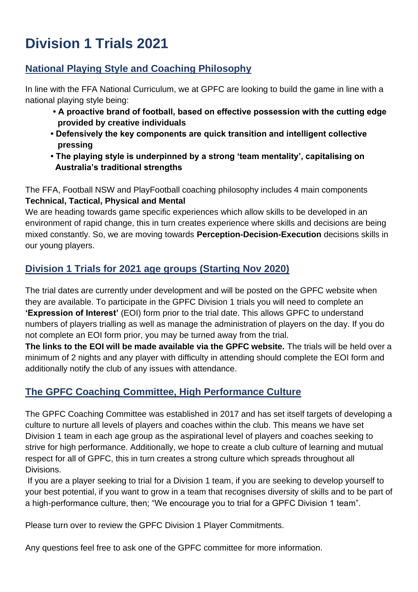# **Division 1 Trials 2021**

## **National Playing Style and Coaching Philosophy**

In line with the FFA National Curriculum, we at GPFC are looking to build the game in line with a national playing style being:

- **A proactive brand of football, based on effective possession with the cutting edge provided by creative individuals**
- **Defensively the key components are quick transition and intelligent collective pressing**
- **The playing style is underpinned by a strong 'team mentality', capitalising on Australia's traditional strengths**

The FFA, Football NSW and PlayFootball coaching philosophy includes 4 main components **Technical, Tactical, Physical and Mental**

We are heading towards game specific experiences which allow skills to be developed in an environment of rapid change, this in turn creates experience where skills and decisions are being mixed constantly. So, we are moving towards **Perception-Decision-Execution** decisions skills in our young players.

## **Division 1 Trials for 2021 age groups (Starting Nov 2020)**

The trial dates are currently under development and will be posted on the GPFC website when they are available. To participate in the GPFC Division 1 trials you will need to complete an **'Expression of Interest'** (EOI) form prior to the trial date. This allows GPFC to understand numbers of players trialling as well as manage the administration of players on the day. If you do not complete an EOI form prior, you may be turned away from the trial.

**The links to the EOI will be made available via the GPFC website.** The trials will be held over a minimum of 2 nights and any player with difficulty in attending should complete the EOI form and additionally notify the club of any issues with attendance.

# **The GPFC Coaching Committee, High Performance Culture**

The GPFC Coaching Committee was established in 2017 and has set itself targets of developing a culture to nurture all levels of players and coaches within the club. This means we have set Division 1 team in each age group as the aspirational level of players and coaches seeking to strive for high performance. Additionally, we hope to create a club culture of learning and mutual respect for all of GPFC, this in turn creates a strong culture which spreads throughout all Divisions.

If you are a player seeking to trial for a Division 1 team, if you are seeking to develop yourself to your best potential, if you want to grow in a team that recognises diversity of skills and to be part of a high-performance culture, then; "We encourage you to trial for a GPFC Division 1 team".

Please turn over to review the GPFC Division 1 Player Commitments.

Any questions feel free to ask one of the GPFC committee for more information.